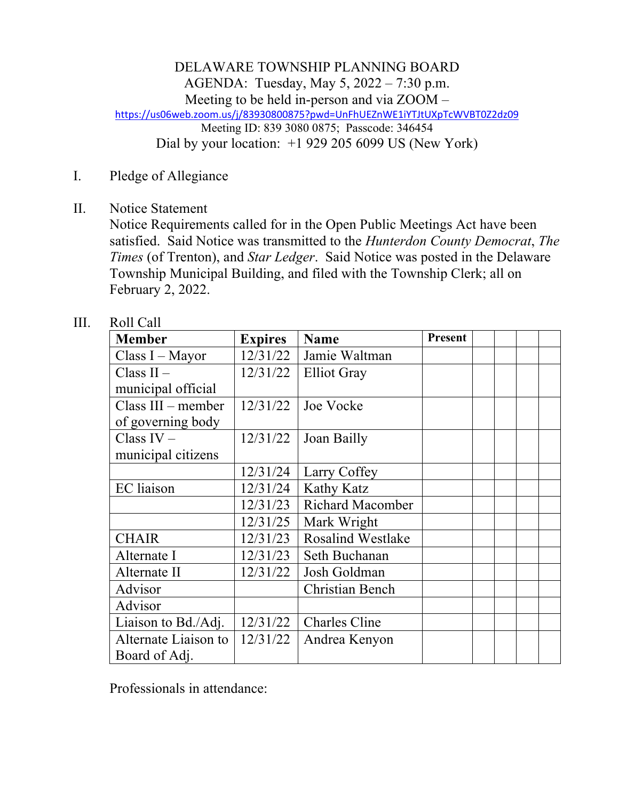DELAWARE TOWNSHIP PLANNING BOARD AGENDA: Tuesday, May 5, 2022 – 7:30 p.m. Meeting to be held in-person and via ZOOM – https://us06web.zoom.us/j/83930800875?pwd=UnFhUEZnWE1iYTJtUXpTcWVBT0Z2dz09 Meeting ID: 839 3080 0875; Passcode: 346454 Dial by your location: +1 929 205 6099 US (New York)

- I. Pledge of Allegiance
- II. Notice Statement

Notice Requirements called for in the Open Public Meetings Act have been satisfied. Said Notice was transmitted to the *Hunterdon County Democrat*, *The Times* (of Trenton), and *Star Ledger*. Said Notice was posted in the Delaware Township Municipal Building, and filed with the Township Clerk; all on February 2, 2022.

| <b>Member</b>        | <b>Expires</b> | <b>Name</b>              | <b>Present</b> |  |  |
|----------------------|----------------|--------------------------|----------------|--|--|
| Class I - Mayor      | 12/31/22       | Jamie Waltman            |                |  |  |
| Class $II -$         | 12/31/22       | <b>Elliot Gray</b>       |                |  |  |
| municipal official   |                |                          |                |  |  |
| $Class III - member$ | 12/31/22       | Joe Vocke                |                |  |  |
| of governing body    |                |                          |                |  |  |
| Class $IV -$         | 12/31/22       | Joan Bailly              |                |  |  |
| municipal citizens   |                |                          |                |  |  |
|                      | 12/31/24       | Larry Coffey             |                |  |  |
| <b>EC</b> liaison    | 12/31/24       | Kathy Katz               |                |  |  |
|                      | 12/31/23       | Richard Macomber         |                |  |  |
|                      | 12/31/25       | Mark Wright              |                |  |  |
| <b>CHAIR</b>         | 12/31/23       | <b>Rosalind Westlake</b> |                |  |  |
| Alternate I          | 12/31/23       | Seth Buchanan            |                |  |  |
| Alternate II         | 12/31/22       | Josh Goldman             |                |  |  |
| Advisor              |                | <b>Christian Bench</b>   |                |  |  |
| Advisor              |                |                          |                |  |  |
| Liaison to Bd./Adj.  | 12/31/22       | <b>Charles Cline</b>     |                |  |  |
| Alternate Liaison to | 12/31/22       | Andrea Kenyon            |                |  |  |
| Board of Adj.        |                |                          |                |  |  |

III. Roll Call

Professionals in attendance: